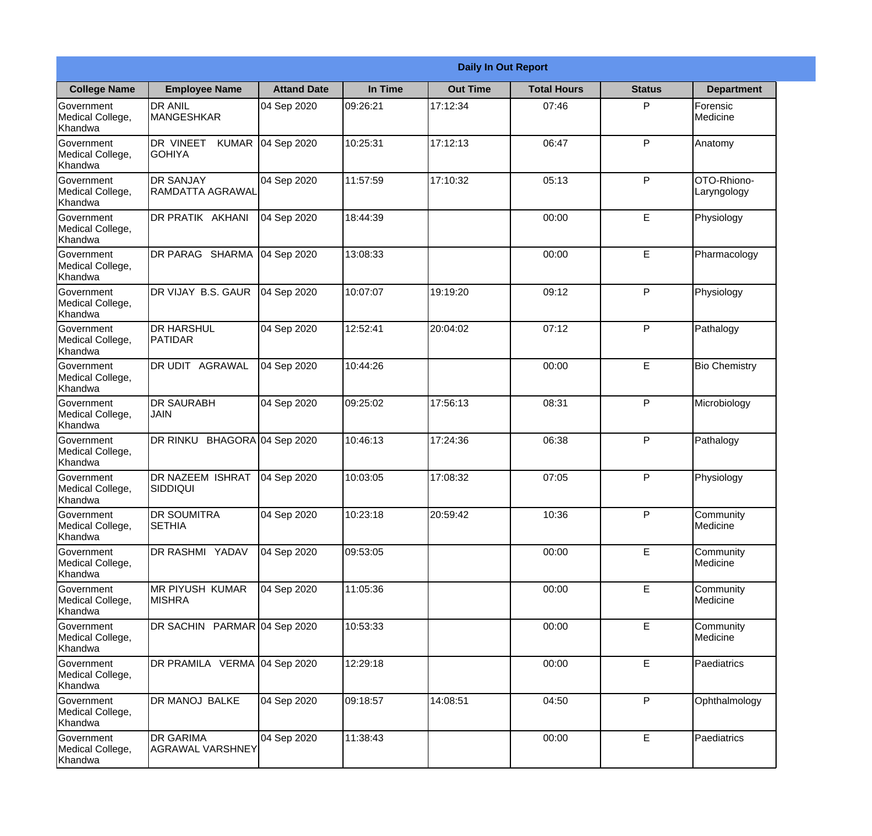|                                                  | <b>Daily In Out Report</b>                  |                     |          |                 |                    |               |                            |  |  |
|--------------------------------------------------|---------------------------------------------|---------------------|----------|-----------------|--------------------|---------------|----------------------------|--|--|
| <b>College Name</b>                              | <b>Employee Name</b>                        | <b>Attand Date</b>  | In Time  | <b>Out Time</b> | <b>Total Hours</b> | <b>Status</b> | <b>Department</b>          |  |  |
| Government<br>Medical College,<br>Khandwa        | <b>DR ANIL</b><br><b>MANGESHKAR</b>         | 04 Sep 2020         | 09:26:21 | 17:12:34        | 07:46              | P             | Forensic<br>Medicine       |  |  |
| Government<br>Medical College,<br>Khandwa        | DR VINEET<br><b>KUMAR</b><br><b>GOHIYA</b>  | 04 Sep 2020         | 10:25:31 | 17:12:13        | 06:47              | P             | Anatomy                    |  |  |
| <b>Government</b><br>Medical College,<br>Khandwa | <b>DR SANJAY</b><br>RAMDATTA AGRAWAL        | 04 Sep 2020         | 11:57:59 | 17:10:32        | 05:13              | P             | OTO-Rhiono-<br>Laryngology |  |  |
| Government<br>Medical College,<br>Khandwa        | <b>DR PRATIK AKHANI</b>                     | 04 Sep 2020         | 18:44:39 |                 | 00:00              | E             | Physiology                 |  |  |
| Government<br>Medical College,<br>Khandwa        | DR PARAG SHARMA                             | 04 Sep 2020         | 13:08:33 |                 | 00:00              | E             | Pharmacology               |  |  |
| Government<br>Medical College,<br>Khandwa        | DR VIJAY B.S. GAUR                          | 04 Sep 2020         | 10:07:07 | 19:19:20        | 09:12              | P             | Physiology                 |  |  |
| <b>Government</b><br>Medical College,<br>Khandwa | IDR HARSHUL<br><b>PATIDAR</b>               | 04 Sep 2020         | 12:52:41 | 20:04:02        | 07:12              | P             | Pathalogy                  |  |  |
| Government<br>Medical College,<br>Khandwa        | <b>DR UDIT AGRAWAL</b>                      | 04 Sep 2020         | 10:44:26 |                 | 00:00              | E             | <b>Bio Chemistry</b>       |  |  |
| Government<br>Medical College,<br>Khandwa        | <b>DR SAURABH</b><br><b>JAIN</b>            | 04 Sep 2020         | 09:25:02 | 17:56:13        | 08:31              | P             | Microbiology               |  |  |
| Government<br>Medical College,<br>Khandwa        | DR RINKU                                    | BHAGORA 04 Sep 2020 | 10:46:13 | 17:24:36        | 06:38              | P             | Pathalogy                  |  |  |
| Government<br>Medical College,<br>Khandwa        | <b>DR NAZEEM ISHRAT</b><br>SIDDIQUI         | 04 Sep 2020         | 10:03:05 | 17:08:32        | 07:05              | $\mathsf{P}$  | Physiology                 |  |  |
| Government<br>Medical College,<br>Khandwa        | <b>DR SOUMITRA</b><br><b>SETHIA</b>         | 04 Sep 2020         | 10:23:18 | 20:59:42        | 10:36              | P             | Community<br>Medicine      |  |  |
| Government<br>Medical College,<br>Khandwa        | DR RASHMI YADAV                             | 04 Sep 2020         | 09:53:05 |                 | 00:00              | E             | Community<br>Medicine      |  |  |
| Government<br>Medical College,<br>Khandwa        | <b>MR PIYUSH KUMAR</b><br><b>MISHRA</b>     | 04 Sep 2020         | 11:05:36 |                 | 00:00              | E             | Community<br>Medicine      |  |  |
| Government<br>Medical College,<br>Khandwa        | DR SACHIN PARMAR 04 Sep 2020                |                     | 10:53:33 |                 | 00:00              | E             | Community<br>Medicine      |  |  |
| Government<br>Medical College,<br>Khandwa        | DR PRAMILA VERMA 04 Sep 2020                |                     | 12:29:18 |                 | 00:00              | $\mathsf E$   | Paediatrics                |  |  |
| Government<br>Medical College,<br>Khandwa        | DR MANOJ BALKE                              | 04 Sep 2020         | 09:18:57 | 14:08:51        | 04:50              | P             | Ophthalmology              |  |  |
| Government<br>Medical College,<br>Khandwa        | <b>DR GARIMA</b><br><b>AGRAWAL VARSHNEY</b> | 04 Sep 2020         | 11:38:43 |                 | 00:00              | E             | Paediatrics                |  |  |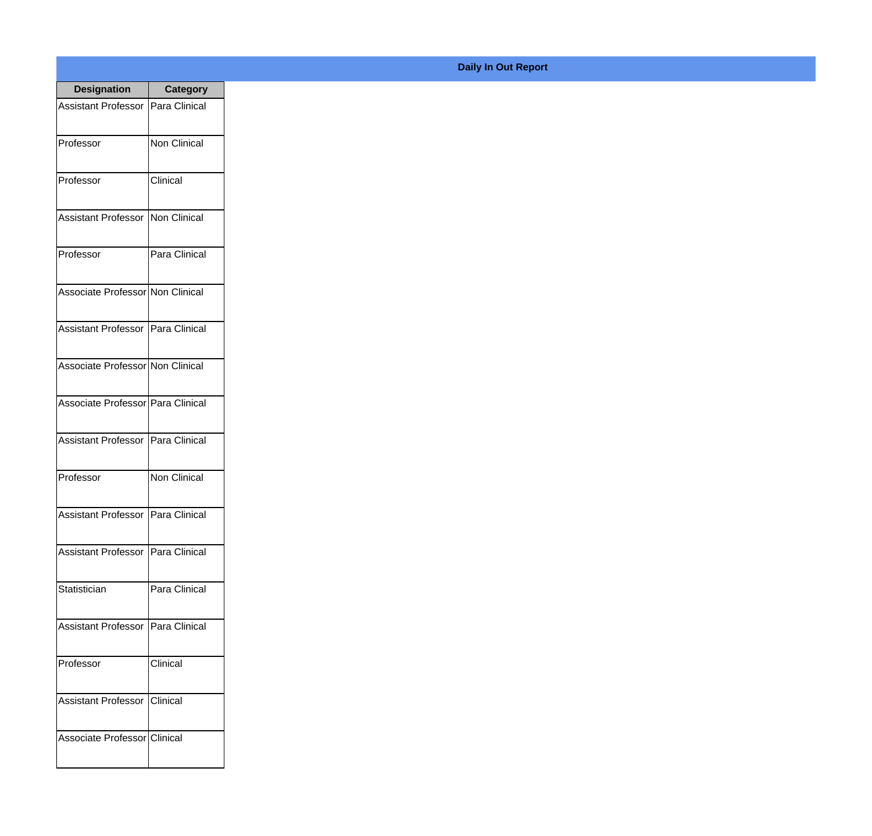| <b>Designation</b>                  | <b>Category</b>     |
|-------------------------------------|---------------------|
| <b>Assistant Professor</b>          | Para Clinical       |
| Professor                           | <b>Non Clinical</b> |
| Professor                           | Clinical            |
| <b>Assistant Professor</b>          | Non Clinical        |
| Professor                           | Para Clinical       |
| Associate Professor Non Clinical    |                     |
| Assistant Professor Para Clinical   |                     |
| Associate Professor Non Clinical    |                     |
| Associate Professor Para Clinical   |                     |
| <b>Assistant Professor</b>          | Para Clinical       |
| Professor                           | Non Clinical        |
| Assistant Professor   Para Clinical |                     |
| <b>Assistant Professor</b>          | Para Clinical       |
| Statistician                        | Para Clinical       |
| <b>Assistant Professor</b>          | Para Clinical       |
| Professor                           | Clinical            |
| <b>Assistant Professor</b>          | Clinical            |
| Associate Professor Clinical        |                     |

## **Daily In Out Report**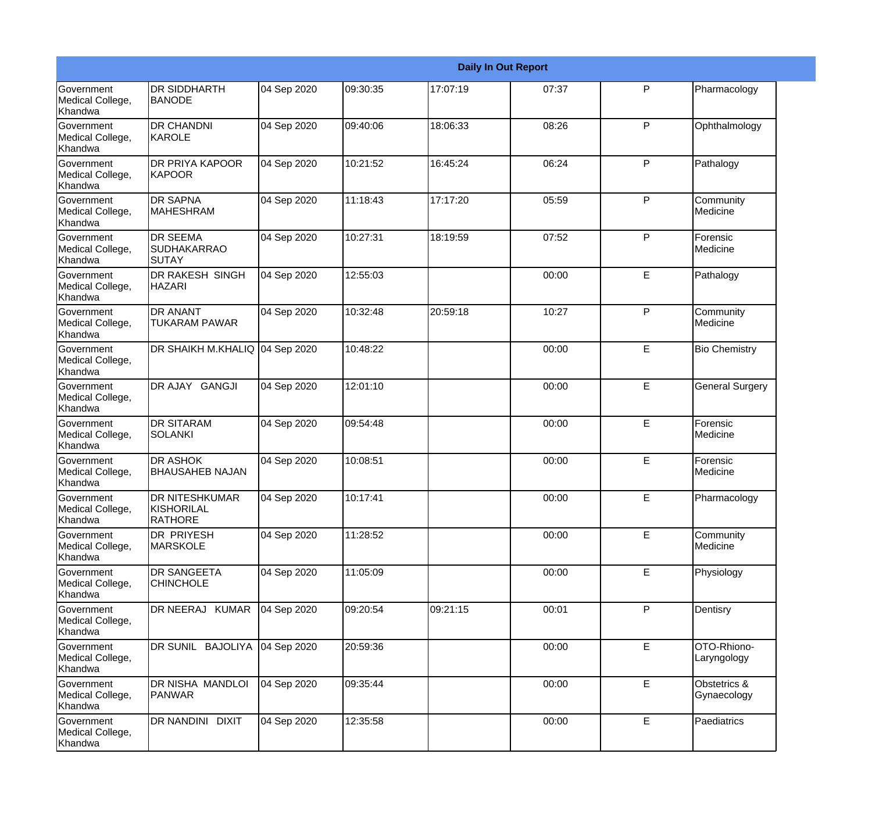|                                                  |                                                       |             |          |          | <b>Daily In Out Report</b> |   |                             |
|--------------------------------------------------|-------------------------------------------------------|-------------|----------|----------|----------------------------|---|-----------------------------|
| <b>Government</b><br>Medical College,<br>Khandwa | <b>DR SIDDHARTH</b><br><b>BANODE</b>                  | 04 Sep 2020 | 09:30:35 | 17:07:19 | 07:37                      | P | Pharmacology                |
| Government<br>Medical College,<br>Khandwa        | <b>DR CHANDNI</b><br>KAROLE                           | 04 Sep 2020 | 09:40:06 | 18:06:33 | 08:26                      | P | Ophthalmology               |
| Government<br>Medical College,<br>Khandwa        | <b>DR PRIYA KAPOOR</b><br><b>KAPOOR</b>               | 04 Sep 2020 | 10:21:52 | 16:45:24 | 06:24                      | P | Pathalogy                   |
| Government<br>Medical College,<br>Khandwa        | <b>DR SAPNA</b><br><b>MAHESHRAM</b>                   | 04 Sep 2020 | 11:18:43 | 17:17:20 | 05:59                      | P | Community<br>Medicine       |
| Government<br>Medical College,<br>Khandwa        | <b>DR SEEMA</b><br><b>SUDHAKARRAO</b><br>SUTAY        | 04 Sep 2020 | 10:27:31 | 18:19:59 | 07:52                      | P | Forensic<br>Medicine        |
| Government<br>Medical College,<br>Khandwa        | <b>DR RAKESH SINGH</b><br><b>HAZARI</b>               | 04 Sep 2020 | 12:55:03 |          | 00:00                      | E | Pathalogy                   |
| Government<br>Medical College,<br>Khandwa        | <b>DR ANANT</b><br><b>TUKARAM PAWAR</b>               | 04 Sep 2020 | 10:32:48 | 20:59:18 | 10:27                      | P | Community<br>Medicine       |
| Government<br>Medical College,<br>Khandwa        | DR SHAIKH M.KHALIQ 04 Sep 2020                        |             | 10:48:22 |          | 00:00                      | E | <b>Bio Chemistry</b>        |
| <b>Government</b><br>Medical College,<br>Khandwa | DR AJAY GANGJI                                        | 04 Sep 2020 | 12:01:10 |          | 00:00                      | E | <b>General Surgery</b>      |
| Government<br>Medical College,<br>Khandwa        | <b>DR SITARAM</b><br><b>SOLANKI</b>                   | 04 Sep 2020 | 09:54:48 |          | 00:00                      | E | Forensic<br>Medicine        |
| <b>Government</b><br>Medical College,<br>Khandwa | <b>DR ASHOK</b><br><b>BHAUSAHEB NAJAN</b>             | 04 Sep 2020 | 10:08:51 |          | 00:00                      | E | Forensic<br><b>Medicine</b> |
| Government<br>Medical College,<br>Khandwa        | <b>DR NITESHKUMAR</b><br>KISHORILAL<br><b>RATHORE</b> | 04 Sep 2020 | 10:17:41 |          | 00:00                      | E | Pharmacology                |
| Government<br>Medical College,<br>Khandwa        | DR PRIYESH<br>MARSKOLE                                | 04 Sep 2020 | 11:28:52 |          | 00:00                      | E | Community<br>Medicine       |
| Government<br>Medical College,<br>Khandwa        | DR SANGEETA<br><b>CHINCHOLE</b>                       | 04 Sep 2020 | 11:05:09 |          | 00:00                      | E | Physiology                  |
| <b>Government</b><br>Medical College,<br>Khandwa | DR NEERAJ KUMAR                                       | 04 Sep 2020 | 09:20:54 | 09:21:15 | 00:01                      | P | Dentisry                    |
| Government<br>Medical College,<br>Khandwa        | DR SUNIL BAJOLIYA                                     | 04 Sep 2020 | 20:59:36 |          | 00:00                      | E | OTO-Rhiono-<br>Laryngology  |
| Government<br>Medical College,<br>Khandwa        | DR NISHA MANDLOI<br>PANWAR                            | 04 Sep 2020 | 09:35:44 |          | 00:00                      | E | Obstetrics &<br>Gynaecology |
| Government<br>Medical College,<br>Khandwa        | <b>DR NANDINI DIXIT</b>                               | 04 Sep 2020 | 12:35:58 |          | 00:00                      | E | Paediatrics                 |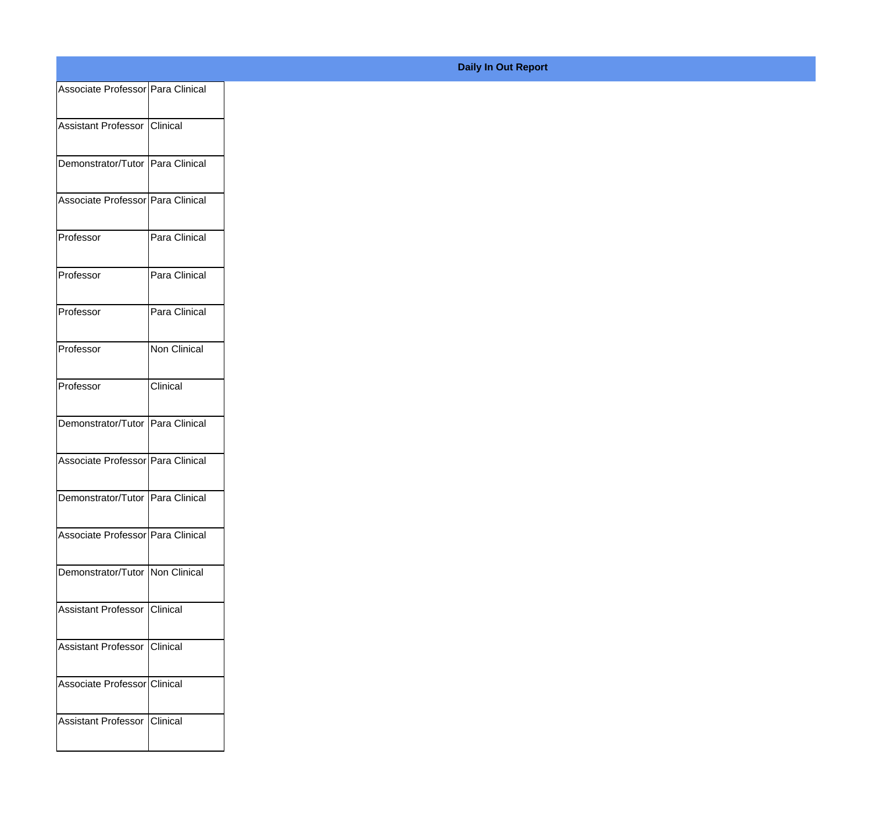| Associate Professor Para Clinical  |               |
|------------------------------------|---------------|
| Assistant Professor Clinical       |               |
|                                    |               |
| Demonstrator/Tutor Para Clinical   |               |
| Associate Professor Para Clinical  |               |
| Professor                          | Para Clinical |
| Professor                          | Para Clinical |
| Professor                          | Para Clinical |
| Professor                          | Non Clinical  |
| Professor                          | Clinical      |
| Demonstrator/Tutor   Para Clinical |               |
|                                    |               |
| Associate Professor Para Clinical  |               |
| Demonstrator/Tutor Para Clinical   |               |
| Associate Professor Para Clinical  |               |
| Demonstrator/Tutor   Non Clinical  |               |
| Assistant Professor Clinical       |               |
| Assistant Professor Clinical       |               |
|                                    |               |
| Associate Professor Clinical       |               |
| Assistant Professor Clinical       |               |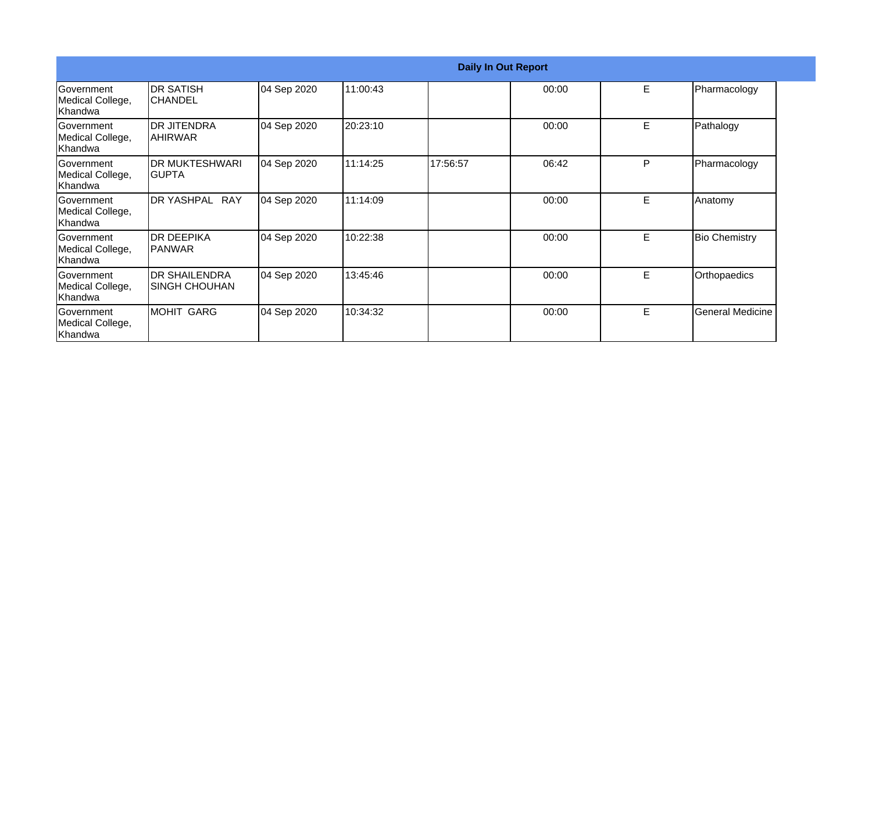|                                                   | <b>Daily In Out Report</b>                   |             |          |          |       |    |                      |  |  |
|---------------------------------------------------|----------------------------------------------|-------------|----------|----------|-------|----|----------------------|--|--|
| Government<br>Medical College,<br> Khandwa        | IDR SATISH<br>ICHANDEL                       | 04 Sep 2020 | 11:00:43 |          | 00:00 | E. | Pharmacology         |  |  |
| Government<br>Medical College,<br>Khandwa         | <b>DR JITENDRA</b><br>IAHIRWAR               | 04 Sep 2020 | 20:23:10 |          | 00:00 | E  | Pathalogy            |  |  |
| <b>Government</b><br>Medical College,<br> Khandwa | <b>DR MUKTESHWARI</b><br>IGUPTA              | 04 Sep 2020 | 11:14:25 | 17:56:57 | 06:42 | P  | Pharmacology         |  |  |
| <b>Government</b><br>Medical College,<br>Khandwa  | <b>RAY</b><br><b>DR YASHPAL</b>              | 04 Sep 2020 | 11:14:09 |          | 00:00 | E. | Anatomy              |  |  |
| Government<br>Medical College,<br>Khandwa         | <b>IDR DEEPIKA</b><br>IPANWAR                | 04 Sep 2020 | 10:22:38 |          | 00:00 | E  | <b>Bio Chemistry</b> |  |  |
| <b>Sovernment</b><br>Medical College,<br>Khandwa  | <b>DR SHAILENDRA</b><br><b>SINGH CHOUHAN</b> | 04 Sep 2020 | 13:45:46 |          | 00:00 | E  | Orthopaedics         |  |  |
| <b>Sovernment</b><br>Medical College,<br>Khandwa  | MOHIT GARG                                   | 04 Sep 2020 | 10:34:32 |          | 00:00 | E  | General Medicine     |  |  |